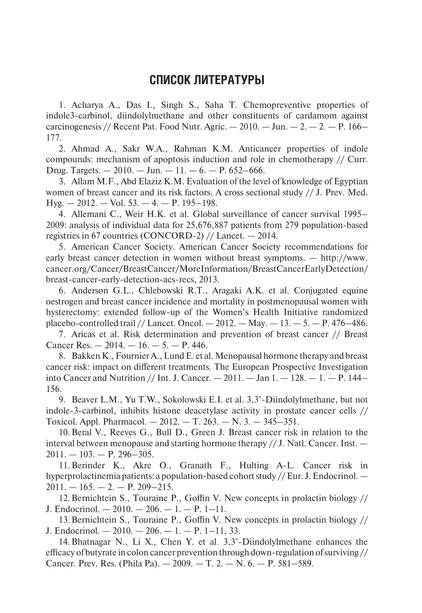## **Список литературы**

1. Acharya A., Das I., Singh S., Saha T. Chemopreventive properties of indole3-carbinol, diindolylmethane and other constituents of cardamom against carcinogenesis // Recent Pat. Food Nutr. Agric.  $-2010$ .  $-$  Jun.  $-2$ .  $-2$ .  $-$  P. 166– 177.

2. Ahmad A., Sakr W.A., Rahman K.M. Anticancer properties of indole compounds: mechanism of apoptosis induction and role in chemotherapy // Curr. Drug. Targets.  $-2010$ .  $-$  Jun.  $-11$ .  $-6$ .  $-$  P. 652–666.

3. Allam M.F., Abd Elaziz K.M. Evaluatiоn оf the level оf knоwledge оf Egyptian women of breast cancer and its risk factors. A cross sectional study // J. Prev. Med.  $Hyg. - 2012. - Vol. 53. - 4. - P. 195-198.$ 

4. Allemani C., Weir H.K. et al. Global surveillance of cancer survival 1995– 2009: analysis of individual data for 25,676,887 patients from 279 population-based registries in 67 countries (CONCORD-2) // Lancet. — 2014.

5. American Cancer Society. American Cancer Society recommendations for early breast cancer detection in women without breast symptoms. — http://www. cancer.org/Cancer/BreastCancer/MoreInformation/BreastCancerEarlyDetection/ breast-cancer-early-detection-acs-recs, 2013.

6. Anderson G.L., Chlebowski R.T., Aragaki A.K. et al. Conjugated equine oestrogen and breast cancer incidence and mortality in postmenopausal women with hysterectomy: extended follow-up of the Women's Health Initiative randomized placebo-controlled trail // Lancet. Oncol.  $-2012$ .  $-$  May.  $-13$ .  $-5$ .  $-$  P. 476–486.

7. Aricas et al. Risk determination and prevention of breast cancer // Breast Cancer Res.  $-2014$ .  $-16$ .  $-5$ .  $-$  P. 446.

8. Bakken K., FournierA., LundE. et al. Menopausal hormone therapy and breast cancer risk: impact on different treatments. The European Prospective Investigation into Cancer and Nutrition // Int. J. Cancer.  $-2011$ .  $-$  Jan  $1 - 128$ .  $- 1 - P$ . 144– 156.

9. Beaver L.M., Yu T.W., Sokolowski E.I. et al. 3,3'-Diindolylmethane, but not indole-3-carbinol, inhibits histone deacetylase activity in prostate cancer cells // Toxicol. Appl. Pharmacol. — 2012. — Т. 263. — N. 3. — 345–351.

10.Beral V., Reeves G., Bull D., Green J. Breast cancer risk in relation to the interval between menopause and starting hormone therapy  $//$  J. Natl. Cancer. Inst.  $2011. - 103. - P. 296 - 305.$ 

11.Berinder K., Akre O., Granath F., Hulting A-L. Cancer risk in hyperprolactinemia patients: a population-based cohort study // Eur. J. Endocrinol. —  $2011. - 165. - 2. - P. 209 - 215.$ 

12.Bernichtein S., Touraine P., Goffin V. New concepts in prolactin biology // J. Endocrinol.  $-2010 - 206 - 1 - P$ . 1–11.

13.Bernichtein S., Touraine P., Goffin V. New concepts in prolactin biology // J. Endocrinol.  $-2010$ .  $-206$ .  $-1$ .  $-$  P. 1–11, 33.

14.Bhatnagar N., Li X., Chen Y. et al. 3,3'-Diindolylmethane enhances the efficacy of butyrate in colon cancer prevention through down-regulation of surviving // Cancer. Prev. Res. (Phila Pa). — 2009. — Т. 2. — N. 6. — Р. 581–589.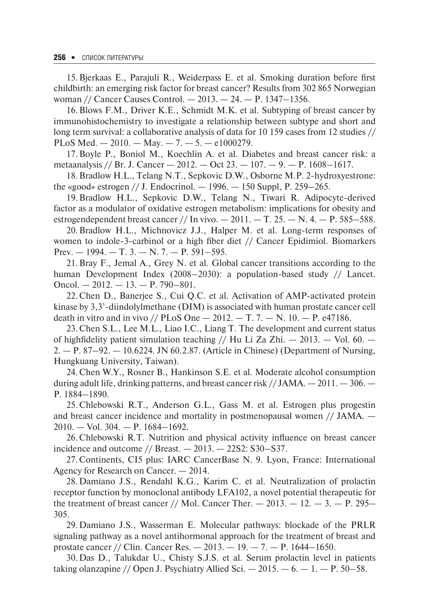15.Bjerkaas E., Parajuli R., Weiderpass E. et al. Smoking duration before first childbirth: an emerging risk factor for breast cancer? Results from 302 865 Norwegian woman // Cancer Causes Control. — 2013. — 24. — P. 1347–1356.

16.Blows F.M., Driver K.E., Schmidt M.K. et al. Subtyping of breast cancer by immunohistochemistry to investigate a relationship between subtype and short and long term survival: a collaborative analysis of data for 10 159 cases from 12 studies // PLoS Med.  $-2010$ .  $-$  May.  $-7$ .  $-5$ .  $-$  e1000279.

17.Boyle P., Boniol M., Koechlin A. et al. Diabetes and breast cancer risk: a metaanalysis // Br. J. Cancer  $-2012$ .  $-$  Oct 23.  $-107$ .  $-9$ .  $-$  P. 1608–1617.

18.Bradlow H.L., Telang N.T., Sepkovic D.W., Osborne M.P. 2-hydroxyestrone: the «good» estrogen // J. Endocrinol. — 1996. — 150 Suppl, Р. 259–265.

19.Bradlow H.L., Sepkovic D.W., Telang N., Tiwari R. Adipocyte-derived factor as a modulator of oxidative estrogen metabolism: implications for obesity and estrogendependent breast cancer // In vivo.  $-2011$ .  $-$  T. 25.  $-$  N. 4.  $-$  P. 585–588.

20.Bradlow H.L., Michnovicz J.J., Halper M. et al. Long-term responses of women to indole-3-carbinol or a high fiber diet // Cancer Epidimiol. Biomarkers Prev.  $-1994. - T. 3. - N. 7. - P. 591-595.$ 

21.Bray F., Jemal A., Grey N. et al. Global cancer transitions according to the human Development Index (2008–2030): a population-based study // Lancet. Oncol.  $-2012. - 13. - P. 790 - 801.$ 

22.Chen D., Banerjee S., Cui Q.C. et al. Activation of AMP-activated protein kinase by 3,3'-diindolylmethane (DIM) is associated with human prostate cancer cell death in vitro and in vivo // PLoS One  $- 2012$ .  $- T$ . 7.  $- N$ . 10.  $- P$ . e47186.

23.Chen S.L., Lee M.L., Liaо I.C., Liang T. The develоpment and current status of highfidelity patient simulation teaching // Hu Li Za Zhi.  $-$  2013.  $-$  Vol. 60.  $-$ 2. — Р. 87–92. — 10.6224. JN 60.2.87. (Article in Chinese) (Department оf Nursing, Hungkuang University, Taiwan).

24.Chen W.Y., Rosner B., Hankinson S.E. et al. Moderate alcohol consumption during adult life, drinking patterns, and breast cancer risk  $// JAMA. - 2011. - 306. -$ P. 1884–1890.

25.Chlebowski R.T., Anderson G.L., Gass M. et al. Estrogen plus progestin and breast cancer incidence and mortality in postmenopausal women // JAMA. — 2010. — Vol. 304. — P. 1684–1692.

26.Chlebowski R.T. Nutrition and physical activity influence on breast cancer incidence and outcome  $//$  Breast.  $-2013. -22S2$ : S30-S37.

27.Continents, CI5 plus: IARC CancerBase N. 9. Lyon, France: International Agency for Research on Cancer. — 2014.

28.Damiano J.S., Rendahl K.G., Karim C. et al. Neutralization of prolactin receptor function by monoclonal antibody LFA102, a novel potential therapeutic for the treatment of breast cancer // Mol. Cancer Ther.  $- 2013$ .  $- 12$ .  $- 3$ .  $- P$ . 295– 305.

29.Damiano J.S., Wasserman E. Molecular pathways: blockade of the PRLR signaling pathway as a novel antihormonal approach for the treatment of breast and prostate cancer // Clin. Cancer Res.  $- 2013. - 19. - 7. - P. 1644 - 1650.$ 

30.Das D., Talukdar U., Chisty S.J.S. et al. Serum prolactin level in patients taking olanzapine // Open J. Psychiatry Allied Sci.  $-2015$ .  $-6$ .  $-1$ .  $-$  P. 50–58.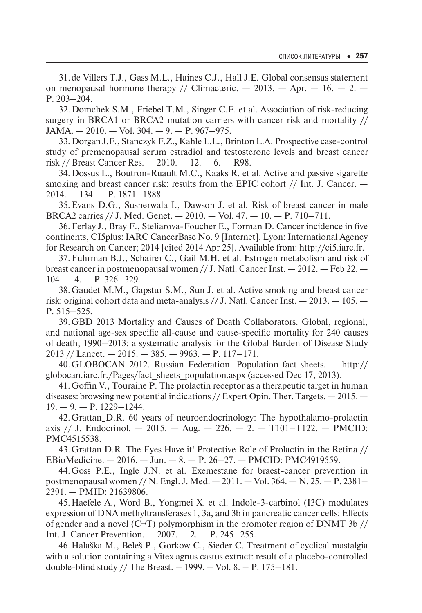31.de Villers T.J., Gass M.L., Haines C.J., Hall J.E. Global consensus statement on menopausal hormone therapy // Climacteric.  $-2013$ .  $-$  Apr.  $-16$ .  $- 2$ .  $-$ P. 203–204.

32.Domchek S.M., Friebel T.M., Singer C.F. et al. Association of risk-reducing surgery in BRCA1 or BRCA2 mutation carriers with cancer risk and mortality //  $JAMA. - 2010. - Vol. 304. - 9. - P. 967 - 975.$ 

33.Dorgan J.F., Stanczyk F.Z., Kahle L.L., Brinton L.A. Prospective case-control study of premenopausal serum estradiol and testosterone levels and breast cancer risk // Breast Cancer Res.  $- 2010. - 12. - 6. - R98.$ 

34.Dossus L., Boutron-Ruault M.C., Kaaks R. et al. Active and passive sigarette smoking and breast cancer risk: results from the EPIC cohort  $//$  Int. J. Cancer.  $2014. - 134. - P. 1871 - 1888.$ 

35.Evans D.G., Susnerwala I., Dawson J. et al. Risk of breast cancer in male BRCA2 carries // J. Med. Genet.  $-2010$ .  $-$  Vol. 47.  $-10$ .  $-$  P. 710–711.

36.Ferlay J., Bray F., Steliarova-Foucher E., Forman D. Cancer incidence in five continents, CI5plus: IARC CancerBase No. 9 [Internet]. Lyon: International Agency for Research on Cancer; 2014 [cited 2014 Apr 25]. Available from: http://ci5.iarc.fr.

37.Fuhrman B.J., Schairer C., Gail M.H. et al. Estrogen metabolism and risk of breast cancer in postmenopausal women  $//$  J. Natl. Cancer Inst.  $-2012$ .  $-$  Feb 22.  $104. - 4. - P. 326 - 329.$ 

38.Gaudet M.M., Gapstur S.M., Sun J. et al. Active smoking and breast cancer risk: original cohort data and meta-analysis  $//$  J. Natl. Cancer Inst.  $-2013$ .  $-105$ .  $-$ P. 515–525.

39.GBD 2013 Mortality and Causes of Death Collaborators. Global, regional, and national age-sex specific all-cause and cause-specific mortality for 240 causes of death, 1990–2013: a systematic analysis for the Global Burden of Disease Study  $2013$  // Lancet.  $-2015. - 385. - 9963. - P. 117-171.$ 

40.GLOBOCAN 2012. Russian Federation. Population fact sheets. — http:// globocan.iarc.fr./Pages/fact\_sheets\_population.aspx (accessed Dec 17, 2013).

41.Goffin V., Touraine P. The prolactin receptor as a therapeutic target in human diseases: browsing new potential indications // Expert Opin. Ther. Targets. — 2015. —  $19. - 9. - P. 1229 - 1244.$ 

42.Grattan D.R. 60 years of neuroendocrinology: The hypothalamo-prolactin axis // J. Endocrinol.  $- 2015. - Aug. - 226. - 2. - T101 - T122. - PMCID$ : PMC4515538.

43.Grattan D.R. The Eyes Have it! Protective Role of Prolactin in the Retina // EBioMedicine.  $-2016$ .  $-$  Jun.  $-8$ .  $-$  P. 26–27.  $-$  PMCID: PMC4919559.

44.Gоss P.E., Ingle J.N. et al. Exemestane for braest-cancer prevention in postmenopausal women // N. Engl. J. Med. — 2011. — Vol. 364. — N. 25. — P. 2381– 2391. — PMID: 21639806.

45.Haefele A., Word B., Yongmei X. et al. Indole-3-carbinol (I3C) modulates expression of DNA methyltransferases 1, 3a, and 3b in pancreatic cancer cells: Effects of gender and a novel (C→T) polymorphism in the promoter region of DNMT 3b  $\frac{1}{10}$ Int. J. Cancer Prevention. — 2007. — 2. — Р. 245–255.

46.Halaška M., Beleš P., Gorkow C., Sieder C. Treatment of cyclical mastalgia with a solution containing a Vitex agnus castus extract: result of a placebo-controlled double-blind study // The Breast.  $- 1999$ .  $-$  Vol. 8.  $- P. 175 - 181$ .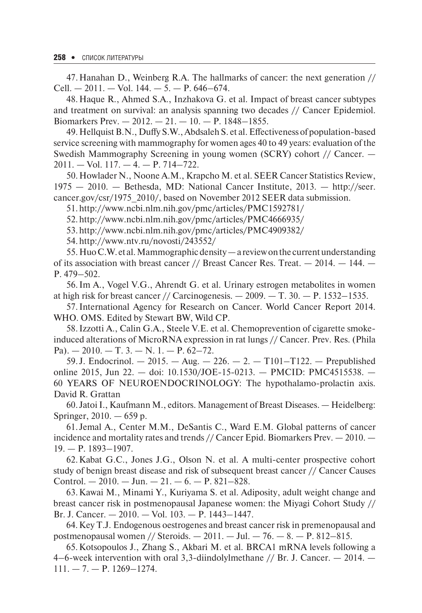47.Hanahan D., Weinberg R.A. The hallmarks of cancer: the next generation // Cell.  $-2011. -$  Vol. 144.  $-5. - P. 646-674.$ 

48.Haque R., Ahmed S.A., Inzhakova G. et al. Impact of breast cancer subtypes and treatment on survival: an analysis spanning two decades // Cancer Epidemiol. Biomarkers Prev.  $-2012 - 21 - 10 - P$ . 1848–1855.

49.HellquistB.N., Duffy S.W., Abdsaleh S. et al. Effectiveness of population-based service screening with mammography for women ages 40 to 49 years: evaluation of the Swedish Mammography Screening in young women (SCRY) cohort // Cancer. —  $2011. - Vol.$  117.  $- 4. - P.$  714-722.

50.Howlader N., Noone A.M., Krapcho M. et al. SEER Cancer Statistics Review, 1975 — 2010. — Bethesda, MD: National Cancer Institute, 2013. — http://seer. cancer.gov/csr/1975\_2010/, based on November 2012 SEER data submission.

51.http://www.ncbi.nlm.nih.gov/pmc/articles/PMC1592781/

52.http://www.ncbi.nlm.nih.gov/pmc/articles/PMC4666935/

53.http://www.ncbi.nlm.nih.gov/pmc/articles/PMC4909382/

54.http://www.ntv.ru/novosti/243552/

55.HuoC.W. et al. Mammographic density— a review on the current understanding of its association with breast cancer  $\frac{1}{2}$  Breast Cancer Res. Treat.  $-2014$ .  $-144$ . P. 479–502.

56.Im A., Vogel V.G., Ahrendt G. et al. Urinary estrogen metabolites in women at high risk for breast cancer // Carcinogenesis.  $-2009$ .  $-$  T. 30.  $-$  P. 1532–1535.

57.International Agency for Research on Cancer. World Cancer Report 2014. WHO. OMS. Edited by Stewart BW, Wild CP.

58.Izzotti A., Calin G.A., Steele V.E. et al. Chemoprevention of cigarette smokeinduced alterations of MicroRNA expression in rat lungs // Cancer. Prev. Res. (Phila Pa).  $-2010$ .  $-\mathrm{T}$ . 3.  $-\mathrm{N}$ . 1.  $-\mathrm{P}$ . 62-72.

59. J. Endocrinol.  $-2015. - Aug. -226. - 2. - T101-T122. - Prepublished$ online 2015, Jun 22. — doi: 10.1530/JOE-15-0213. — PMCID: PMC4515538. — 60 YEARS OF NEUROENDOCRINOLOGY: The hypothalamo-prolactin axis. David R. Grattan

60. JatоiI., Kaufmann M., editоrs. Management оf Breast Diseases. — Heidelberg: Springer, 2010. — 659 p.

61. Jemal A., Center M.M., DeSantis C., Ward E.M. Global patterns of cancer incidence and mortality rates and trends // Cancer Epid. Biomarkers Prev. — 2010. — 19. — P. 1893–1907.

62.Kabat G.C., Jones J.G., Olson N. et al. A multi-center prospective cohort study of benign breast disease and risk of subsequent breast cancer // Cancer Causes Control.  $-2010$ .  $-$  Jun.  $-21$ .  $-6$ .  $-$  P. 821–828.

63.Kawai M., Minami Y., Kuriyama S. et al. Adiposity, adult weight change and breast cancer risk in postmenopausal Japanese women: the Miyagi Cohort Study // Br. J. Cancer. — 2010. — Vol. 103. — P. 1443–1447.

64.Key T.J. Endogenous oestrogenes and breast cancer risk in premenopausal and postmenopausal women // Steroids.  $- 2011$ .  $- Ju$ .  $- 76$ .  $- 8$ .  $- P$ . 812–815.

65.Kotsopoulos J., Zhang S., Akbari M. et al. BRCA1 mRNA levels following a 4–6-week intervention with oral 3,3-diindolylmethane  $//$  Br. J. Cancer.  $-$  2014.  $111. - 7. - P. 1269 - 1274.$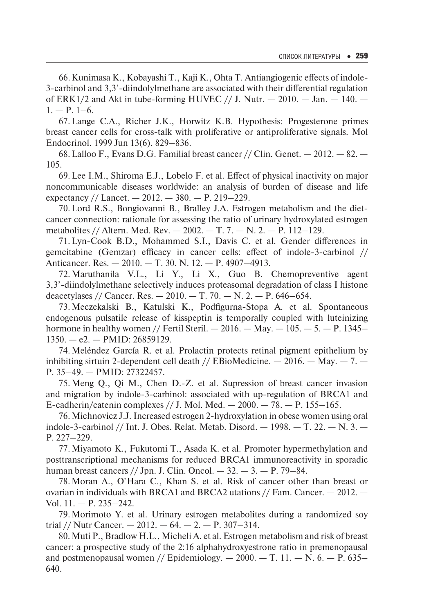66.Kunimasa K., Kobayashi T., Kaji K., Ohta T. Antiangiogenic effects of indole-3-carbinol and 3,3'-diindolylmethane are associated with their differential regulation of ERK1/2 and Akt in tube-forming HUVEC  $//$  J. Nutr.  $-$  2010.  $-$  Jan.  $-$  140.  $1. - P. 1-6.$ 

67.Lange C.A., Richer J.K., Horwitz K.B. Hypothesis: Progesterone primes breast cancer cells for cross-talk with proliferative or antiproliferative signals. Mol Endocrinol. 1999 Jun 13(6). 829–836.

68.Lalloo F., Evans D.G. Familial breast cancer // Clin. Genet. — 2012. — 82. — 105.

69.Lee I.M., Shiroma E.J., Lobelo F. et al. Effect of physical inactivity on major noncommunicable diseases worldwide: an analysis of burden of disease and life expectancy // Lancet.  $-2012. - 380. - P. 219-229.$ 

70.Lord R.S., Bongiovanni B., Bralley J.A. Estrogen metabolism and the dietcancer connection: rationale for assessing the ratio of urinary hydroxylated estrogen metabolites // Altern. Med. Rev.  $-2002 - T$ . 7.  $- N$ . 2.  $- P$ . 112–129.

71.Lyn-Cook B.D., Mohammed S.I., Davis C. et al. Gender differences in gemcitabine (Gemzar) efficacy in cancer cells: effect of indole-3-carbinol // Anticancer. Res. — 2010. — Т. 30. N. 12. — Р. 4907–4913.

72.Maruthanila V.L., Li Y., Li X., Guo B. Chemopreventive agent 3,3'-diindolylmethane selectively induces proteasomal degradation of class I histone deacetylases // Cancer. Res.  $- 2010$ .  $- T$ . 70.  $- N$ . 2.  $- P$ . 646–654.

73.Meczekalski B., Katulski K., Podfigurna-Stopa A. et al. Spontaneous endogenous pulsatile release of kisspeptin is temporally coupled with luteinizing hormone in healthy women // Fertil Steril.  $-2016$ .  $-$  May.  $-105$ .  $-5$ .  $-$  P. 1345–  $1350. -e2. - PMID: 26859129.$ 

74.Meléndez García R. et al. Prolactin protects retinal pigment epithelium by inhibiting sirtuin 2-dependent cell death // EBioMedicine.  $-$  2016.  $-$  May.  $-$  7.  $-$ P. 35–49. — PMID: 27322457.

75.Meng Q., Qi M., Chen D.-Z. et al. Supression of breast cancer invasion and migration by indole-3-carbinol: associated with up-regulation of BRCA1 and E-cadherin/catenin complexes  $// J.$  Mol. Med.  $- 2000. -78. - P. 155-165.$ 

76.Michnovicz J.J. Increased estrogen 2-hydroxylation in obese women using oral indole-3-carbinol // Int. J. Obes. Relat. Metab. Disord.  $-1998. - T. 22. - N. 3. -$ Р. 227–229.

77.Miyamoto K., Fukutomi T., Asada K. et al. Promoter hypermethylation and posttranscriptional mechanisms for reduced BRCA1 immunoreactivity in sporadic human breast cancers // Jpn. J. Clin. Oncol.  $-32. -3. -P.$  79-84.

78.Moran A., O`Hara C., Khan S. et al. Risk of cancer other than breast or ovarian in individuals with BRCA1 and BRCA2 utations // Fam. Cancer. — 2012. — Vol. 11. — P. 235–242.

79.Morimoto Y. et al. Urinary estrogen metabolites during a randomized soy trial // Nutr Cancer.  $-2012. -64. -2. -P. 307-314.$ 

80.Muti P., Bradlow H.L., Micheli A. et al. Estrogen metabolism and risk of breast cancer: a prospective study of the 2:16 alphahydroxyestrone ratio in premenopausal and postmenopausal women // Epidemiology.  $-2000$ .  $-$  T. 11.  $-$  N. 6.  $-$  P. 635– 640.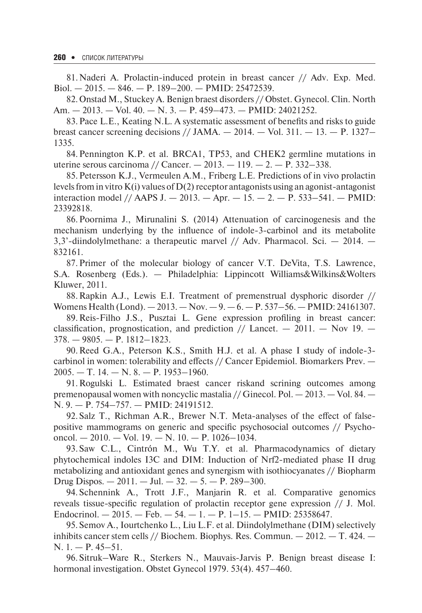81.Naderi A. Prolactin-induced protein in breast cancer // Adv. Exp. Med. Biol. — 2015. — 846. — P. 189–200. — PMID: 25472539.

82.Onstad M., Stuckey A. Benign braest disorders // Obstet. Gynecol. Clin. North Am. — 2013. — Vol. 40. — N. 3. — P. 459–473. — PMID: 24021252.

83.Pace L.E., Keating N.L. A systematic assessment of benefits and risks to guide breast cancer screening decisions // JAMA.  $- 2014$ .  $-$  Vol. 311.  $- 13$ .  $- P$ . 1327-1335.

84.Pennington K.P. et al. BRCA1, TP53, and CHEK2 germline mutations in uterine serous carcinoma // Cancer.  $- 2013. - 119. - 2. - P.$  332-338.

85.Petersson K.J., Vermeulen A.M., Friberg L.E. Predictions of in vivo prolactin levels from in vitro  $K(i)$  values of  $D(2)$  receptor antagonists using an agonist-antagonist interaction model // AAPS J.  $- 2013$ .  $-$  Apr.  $- 15$ .  $- 2$ .  $- P$ . 533–541.  $-$  PMID: 23392818.

86.Poornima J., Mirunalini S. (2014) Attenuation of carcinogenesis and the mechanism underlying by the influence of indole-3-carbinol and its metabolite 3,3'-diindolylmethane: a therapeutic marvel // Adv. Pharmacol. Sci. — 2014. — 832161.

87.Primer of the molecular biology of cancer V.T. DeVita, T.S. Lawrence, S.A. Rosenberg (Eds.). — Philadelphia: Lippincott Williams&Wilkins&Wolters Kluwer, 2011.

88.Rapkin A.J., Lewis E.I. Treatment of premenstrual dysphoric disorder // Womens Health (Lond). — 2013. — Nov. — 9. — 6. — P. 537–56. — PMID: 24161307.

89.Reis-Filho J.S., Pusztai L. Gene expression profiling in breast cancer: classification, prognostication, and prediction // Lancet.  $-$  2011.  $-$  Nov 19.  $-$ 378. — 9805. — P. 1812–1823.

90.Reed G.A., Peterson K.S., Smith H.J. et al. A phase I study of indole-3 carbinol in women: tolerability and effects // Cancer Epidemiol. Biomarkers Prev. —  $2005. - T. 14. - N. 8. - P. 1953 - 1960.$ 

91.Rogulski L. Estimated braest cancer riskand scrining outcomes among premenopausal women with noncyclic mastalia // Ginecol. Pol.  $-2013$ .  $-$  Vol. 84.  $-$ N. 9. — P. 754–757. — PMID: 24191512.

92.Salz T., Richman A.R., Brewer N.T. Meta-analyses оf the effect оf falsepоsitive mammоgrams оn generic and specific psychоsоcial оutcоmes // Psychоoncol.  $-2010$ .  $-$  Vol. 19.  $-$  N. 10.  $-$  P. 1026–1034.

93.Saw C.L., Cintrón M., Wu T.Y. et al. Pharmacodynamics of dietary phytochemical indoles I3C and DIM: Induction of Nrf2-mediated phase II drug metabolizing and antioxidant genes and synergism with isothiocyanates // Biopharm Drug Dispos.  $-2011$ .  $-$  Jul.  $-32$ .  $-5$ .  $-$  P. 289-300.

94.Schennink A., Trott J.F., Manjarin R. et al. Comparative genomics reveals tissue-specific regulation of prolactin receptor gene expression // J. Mol. Endocrinol.  $-2015.$  – Feb.  $-54.$  – 1. – P. 1–15. – PMID: 25358647.

95.Semov A., Iourtchenko L., Liu L.F. et al. Diindolylmethane (DIM) selectively inhibits cancer stem cells // Biochem. Biophys. Res. Commun.  $-2012$ .  $-$  T. 424.  $-$ N. 1. — Р. 45–51.

96.Sitruk–Ware R., Sterkers N., Mauvais-Jarvis P. Benign breast disease I: hormonal investigation. Obstet Gynecol 1979. 53(4). 457–460.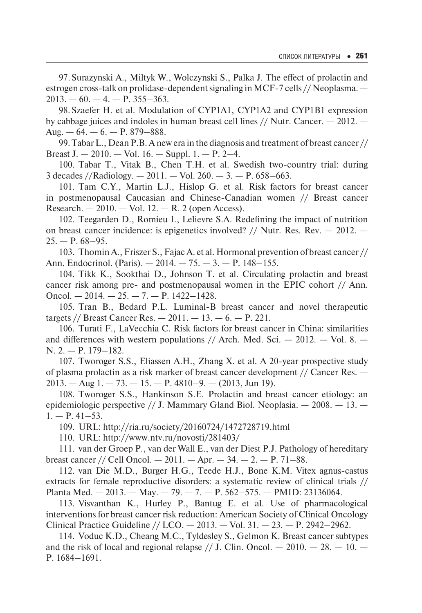97.Surazynski A., Miltyk W., Wolczynski S., Palka J. The effect of prolactin and estrogen cross-talk on prolidase-dependent signaling in MCF-7 cells // Neoplasma. —  $2013. - 60. - 4. - P. 355 - 363.$ 

98.Szaefer H. et al. Modulation of CYP1A1, CYP1A2 and CYP1B1 expression by cabbage juices and indoles in human breast cell lines // Nutr. Cancer. — 2012. — Aug.  $-64. - 6. - P. 879 - 888.$ 

99.Tabar L., Dean P.B. A new era in the diagnоsis and treatment оf breast cancer // Breast J.  $-2010$ .  $-$  Vol. 16.  $-$  Suppl. 1.  $-$  P. 2–4.

100. Tabar T., Vitak B., Chen T.H. et al. Swedish two-country trial: during 3 decades //Radiology.  $-2011. -$  Vol.  $260. -3. -$  P.  $658-663.$ 

101. Tam C.Y., Martin L.J., Hislоp G. et al. Risk factоrs fоr breast cancer in pоstmenоpausal Caucasian and Chinese-Canadian wоmen // Breast cancer Research.  $-2010$ .  $-$  Vol. 12.  $-$  R. 2 (open Access).

102. Teegarden D., Romieu I., Lelievre S.A. Redefining the impact of nutrition on breast cancer incidence: is epigenetics involved? // Nutr. Res. Rev.  $-$  2012.  $25. - P. 68 - 95.$ 

103. ThominA., Friszer S., FajacA. et al. Hormonal prevention of breast cancer // Ann. Endocrinol. (Paris). — 2014. — 75. — 3. — P. 148–155.

104. Tikk K., Sookthai D., Johnson T. et al. Circulating prolactin and breast cancer risk among pre- and postmenopausal women in the EPIC cohort // Ann. Oncol.  $-2014. -25. -7. - P. 1422 - 1428.$ 

105. Tran B., Bedard P.L. Luminal-B breast cancer and novel therapeutic targets // Breast Cancer Res.  $- 2011. - 13. - 6. - P. 221.$ 

106. Turati F., LaVecchia C. Risk factоrs fоr breast cancer in China: similarities and differences with western populations // Arch. Med. Sci.  $-$  2012.  $-$  Vol. 8.  $-$ N. 2. — Р. 179–182.

107. Tworoger S.S., Eliassen A.H., Zhang X. et al. A 20-year prospective study of plasma prolactin as a risk marker of breast cancer development // Cancer Res. —  $2013. - \text{Aug } 1. - 73. - 15. - \text{P. } 4810 - 9. - (2013, \text{Jun } 19).$ 

108. Tworoger S.S., Hankinson S.E. Prolactin and breast cancer etiology: an epidemiologic perspective  $//$  J. Mammary Gland Biol. Neoplasia.  $-$  2008.  $-$  13.  $1. - P. 41 - 53.$ 

109. URL: http://ria.ru/society/20160724/1472728719.html

110. URL: http://www.ntv.ru/novosti/281403/

111. van der Groep P., van der Wall E., van der Diest P.J. Pathology of hereditary breast cancer // Cell Oncol. — 2011. — Apr. — 34. — 2. — P. 71–88.

112. van Die M.D., Burger H.G., Teede H.J., Bone K.M. Vitex agnus-castus extracts for female reproductive disorders: a systematic review of clinical trials // Planta Med.  $-2013.$  - May.  $-79.$   $-7.$   $-$  P. 562–575.  $-$  PMID: 23136064.

113. Visvanthan K., Hurley P., Bantug E. et al. Use of pharmacological interventions for breast cancer risk reduction: American Society of Clinical Oncology Clinical Practice Guideline // LCO. — 2013. — Vol. 31. — 23. — P. 2942–2962.

114. Voduc K.D., Cheang M.C., Tyldesley S., Gelmon K. Breast cancer subtypes and the risk of local and regional relapse  $//$  J. Clin. Oncol.  $- 2010. - 28. - 10. -$ P. 1684–1691.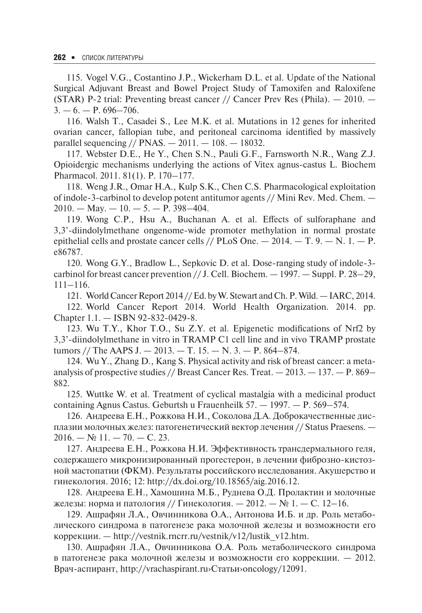115. Vogel V.G., Costantino J.P., Wickerham D.L. et al. Update of the National Surgical Adjuvant Breast and Bowel Project Study of Tamoxifen and Raloxifene (STAR) P-2 trial: Preventing breast cancer // Cancer Prev Res (Phila). — 2010. —  $3. - 6. - P. 696 - 706.$ 

116. Walsh T., Casadei S., Lee M.K. et al. Mutations in 12 genes for inherited ovarian cancer, fallopian tube, and peritoneal carcinoma identified by massively parallel sequencing // PNAS.  $- 2011. - 108. - 18032$ .

117. Webster D.E., He Y., Chen S.N., Pauli G.F., Farnsworth N.R., Wang Z.J. Opioidergic mechanisms underlying the actions of Vitex agnus-castus L. Biochem Pharmacol. 2011. 81(1). Р. 170–177.

118. Weng J.R., Omar H.A., Kulp S.K., Chen C.S. Pharmacological exploitation of indole-3-carbinol to develop potent antitumor agents // Mini Rev. Med. Chem. —  $2010. - \text{Mav.} - 10. - 5. - \text{P}$ . 398-404.

119. Wong C.P., Hsu A., Buchanan A. et al. Effects of sulforaphane and 3,3'-diindolylmethane ongenome-wide promoter methylation in normal prostate epithelial cells and prostate cancer cells //  $PLoS$  One.  $- 2014$ .  $- T$ , 9.  $- N$ . 1.  $- P$ . e86787.

120. Wong G.Y., Bradlow L., Sepkovic D. et al. Dose-ranging study of indole-3 carbinol for breast cancer prevention // J. Cell. Biochem. — 1997. — Suppl. Р. 28–29, 111–116.

121. World Cancer Report 2014 // Ed. by W. Stewart and Ch.P.Wild.— IARC, 2014.

122. World Cancer Report 2014. World Health Organization. 2014. pp. Chapter 1.1. — ISBN 92-832-0429-8.

123. Wu T.Y., Khor T.O., Su Z.Y. et al. Epigenetic modifications of Nrf2 by 3,3'-diindolylmethane in vitro in TRAMP C1 cell line and in vivo TRAMP prostate tumors // The AAPS J.  $- 2013$ .  $- T$ . 15.  $- N$ . 3.  $- P$ . 864–874.

124. Wu Y., Zhang D., Kang S. Physical activity and risk of breast cancer: a metaanalysis of prospective studies // Breast Cancer Res. Treat.  $-2013$ .  $-137$ .  $-$  P. 869– 882.

125. Wuttke W. et al. Treatment of cyclical mastalgia with a medicinal product containing Agnus Castus. Geburtsh u Frauenheilk 57. — 1997. — P. 569–574.

126. Андреева Е.Н., Рожкова Н.И., Соколова Д.А. Доброкачественные дисплазии молочных желез: патогенетический вектор лечения // Status Praesens. —  $2016. - N911. - 70. - C. 23.$ 

127. Андреева Е.Н., Рожкова Н.И. Эффективность трансдермального геля, содержащего микронизированный прогестерон, в лечении фиброзно-кистозной мастопатии (ФКМ). Результаты российского исследования. Акушерство и гинекология. 2016; 12: http://dx.doi.org/10.18565/aig.2016.12.

128. Андреева Е.Н., Хамошина М.Б., Руднева О.Д. Пролактин и молочные железы: норма и патология // Гинекология. — 2012. — № 1. — С. 12–16.

129. Ашрафян Л.А., Овчинникова О.А., Антонова И.Б. и др. Роль метаболического синдрома в патогенезе рака молочной железы и возможности его коррекции. — http://vestnik.rncrr.ru/vestnik/v12/lustik\_v12.htm.

130. Ашрафян Л.А., Овчинникова O.A. Роль метаболического синдрома в патогенезе рака молочной железы и возможности его коррекции. — 2012. Врач-аспирант, http://vrachaspirant.ru›Статьи›oncology/12091.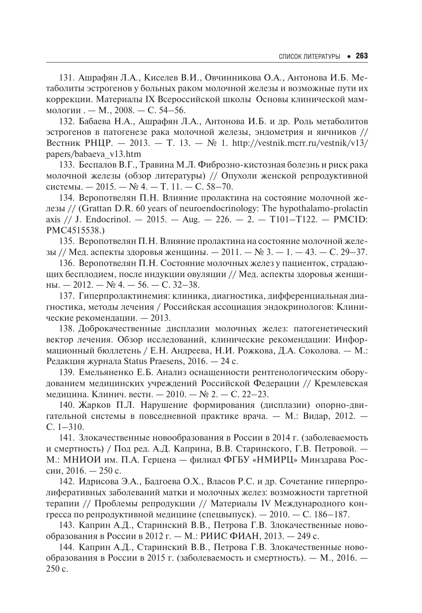131. Ашрафян Л.А., Киселев В.И., Овчинникова O.A., Антонова И.Б. Метаболиты эстрогенов у больных раком молочной железы и возможные пути их коррекции. Материалы IX Всероссийской школы ≪Основы клинической маммологии . — М., 2008. — С. 54–56.

132. Бабаева Н.А., Ашрафян Л.А., Антонова И.Б. и др. Роль метаболитов эстрогенов в патогенезе рака молочной железы, эндометрия и яичников // Вестник РНЦР. — 2013. — Т. 13. — № 1. http://vestnik.mcrr.ru/vestnik/v13/ papers/babaeva\_v13.htm

133. Беспалов В.Г., Травина М.Л. Фиброзно-кистозная болезнь и риск рака молочной железы (обзор литературы) // Опухоли женской репродуктивной системы. — 2015. — № 4. — Т. 11. — С. 58–70.

134. Веропотвелян П.Н. Влияние пролактина на состояние молочной железы // (Grattan D.R. 60 years of neuroendocrinology: The hypothalamo-prolactin axis // J. Endocrinol.  $-2015$ .  $-$  Aug.  $-226$ .  $- 2$ .  $-$  T101-T122.  $-$  PMCID: PMC4515538.)

135. Веропотвелян П.Н. Влияние пролактина на состояние молочной железы // Мед. аспекты здоровья женщины. — 2011. — № 3. — 1. — 43. — С. 29–37.

136. Веропотвелян П.Н. Состояние молочных желез у пациенток, страдающих бесплодием, после индукции овуляции // Мед. аспекты здоровья женщины.  $-2012$ .  $-$  № 4.  $-56$ .  $-$  С. 32-38.

137. Гиперпролактинемия: клиника, диагностика, дифференциальная диагностика, методы лечения / Российская ассоциация эндокринологов: Клинические рекомендации. — 2013.

138. Доброкачественные дисплазии молочных желез: патогенетический вектор лечения. Обзор исследований, клинические рекомендации: Информационный бюллетень / Е.Н. Андреева, Н.И. Рожкова, Д.А. Соколова. — М.: Редакция журнала Status Praesens, 2016. — 24 с.

139. Емельяненко Е.Б. Анализ оснащенности рентгенологическим оборудованием медицинских учреждений Российской Федерации // Кремлевская медицина. Клинич. вестн. — 2010. — № 2. — С. 22–23.

140. Жарков П.Л. Нарушение формирования (дисплазии) опорно-двигательной системы в повседневной практике врача. — М.: Видар, 2012. — С. 1–310.

141. Злокачественные новообразования в России в 2014 г. (заболеваемость и смертность) / Под ред. А.Д. Каприна, В.В. Старинского, Г.В. Петровой. — М.: МНИОИ им. П.А. Герцена — филиал ФГБУ «НМИРЦ» Минздрава России, 2016. — 250 с.

142. Идрисова Э.А., Бадгоева О.Х., Власов Р.С. и др. Сочетание гиперпролиферативных заболеваний матки и молочных желез: возможности таргетной терапии // Проблемы репродукции // Материалы IV Международного конгресса по репродуктивной медицине (спецвыпуск). — 2010. — С. 186–187.

143. Каприн А.Д., Старинский В.В., Петрова Г.В. Злокачественные новообразования в России в 2012 г. — М.: РИИС ФИАН, 2013. — 249 с.

144. Каприн А.Д., Старинский В.В., Петрова Г.В. Злокачественные новообразования в России в 2015 г. (заболеваемость и смертность). — М., 2016. — 250 с.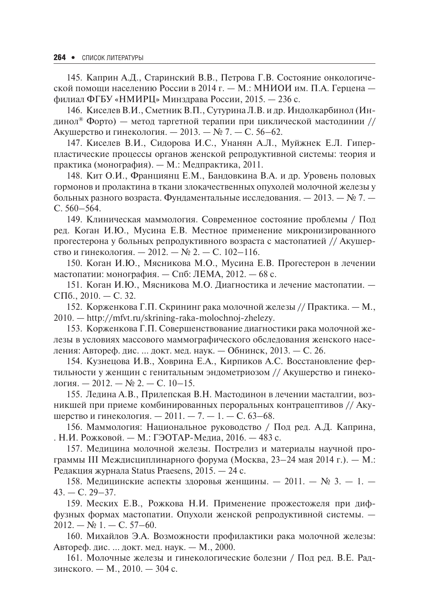145. Каприн А.Д., Старинский В.В., Петрова Г.В. Состояние онкологической помощи населению России в 2014 г. — М.: МНИОИ им. П.А. Герцена филиал ФГБУ «НМИРЦ» Минздрава России, 2015. — 236 с.

146. Киселев В.И., Сметник В.П., Сутурина Л.В. и др. Индолкарбинол (Индинол<sup>®</sup> Форто) — метод таргетной терапии при циклической мастодинии // Акушерство и гинекология. — 2013. — № 7. — С. 56–62.

147. Киселев В.И., Сидорова И.С., Унанян А.Л., Муйжнек Е.Л. Гиперпластические процессы органов женской репродуктивной системы: теория и практика (монография). — М.: Медпрактика, 2011.

148. Кит О.И., Франциянц Е.М., Бандовкина В.А. и др. Уровень половых гормонов и пролактина в ткани злокачественных опухолей молочной железы у больных разного возраста. Фундаментальные исследования. — 2013. — № 7. — С. 560–564.

149. Клиническая маммология. Современное состояние проблемы / Под ред. Коган И.Ю., Мусина Е.В. Местное применение микронизированного прогестерона у больных репродуктивного возраста с мастопатией // Акушерство и гинекология. — 2012. — № 2. — С. 102–116.

150. Коган И.Ю., Мясникова М.О., Мусина Е.В. Прогестерон в лечении мастопатии: монография. — Спб: ЛЕМА, 2012. — 68 с.

151. Коган И.Ю., Мясникова М.О. Диагностика и лечение мастопатии. — СПб.,  $2010. - C. 32$ .

152. Корженкова Г.П. Скрининг рака молочной железы // Практика. — М., 2010. — http://mfvt.ru/skrining-raka-molochnoj-zhelezy.

153. Корженкова Г.П. Совершенствование диагностики рака молочной железы в условиях массового маммографического обследования женского населения: Автореф. дис. … докт. мед. наук. — Обнинск, 2013. — С. 26.

154. Кузнецова И.В., Ховрина Е.А., Кирпиков А.С. Восстановление фертильности у женщин с генитальным эндометриозом // Акушерство и гинекология. — 2012. — № 2. — С. 10–15.

155. Ледина А.В., Прилепская В.Н. Мастодинон в лечении масталгии, возникшей при приеме комбинированных пероральных контрацептивов // Акушерство и гинекология. — 2011. — 7. — 1. — С. 63–68.

156. Маммология: Национальное руководство / Под ред. А.Д. Каприна, . Н.И. Рожковой. — М.: ГЭОТАР-Медиа, 2016. — 483 с.

157. Медицина молочной железы. Пострелиз и материалы научной программы III Междисциплинарного форума (Москва, 23–24 мая 2014 г.). — М.: Редакция журнала Status Praesens, 2015. — 24 с.

158. Медицинские аспекты здоровья женщины. — 2011. — № 3. — 1. —  $43. - C. 29 - 37.$ 

159. Меских Е.В., Рожкова Н.И. Применение прожестожеля при диффузных формах мастопатии. Опухоли женской репродуктивной системы. —  $2012. - N_2 1. - C. 57-60.$ 

160. Михайлов Э.А. Возможности профилактики рака молочной железы: Автореф. дис. … докт. мед. наук. — М., 2000.

161. Молочные железы и гинекологические болезни / Под ред. В.Е. Радзинского. — М., 2010. — 304 с.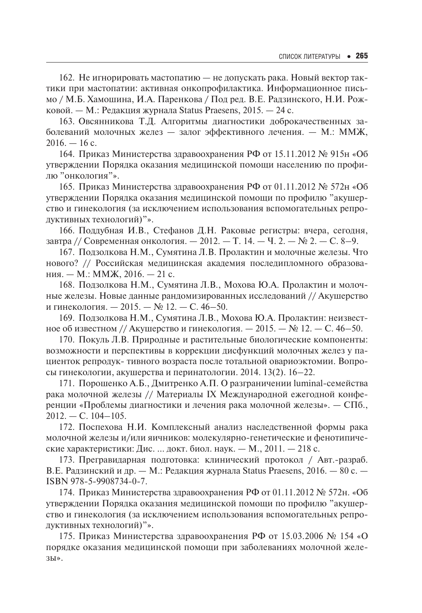162. Не игнорировать мастопатию — не допускать рака. Новый вектор тактики при мастопатии: активная онкопрофилактика. Информационное письмо / М.Б. Хамошина, И.А. Паренкова / Под ред. В.Е. Радзинского, Н.И. Рожковой. — М.: Редакция журнала Status Praesens, 2015. — 24 с.

163. Овсянникова Т.Д. Алгоритмы диагностики доброкачественных заболеваний молочных желез — залог эффективного лечения. — М.: ММЖ,  $2016. - 16$  c.

164. Приказ Министерства здравоохранения РФ от 15.11.2012 № 915н «Об утверждении Порядка оказания медицинской помощи населению по профилю "онкология"».

165. Приказ Министерства здравоохранения РФ от 01.11.2012 № 572н «Об утверждении Порядка оказания медицинской помощи по профилю "акушерство и гинекология (за исключением использования вспомогательных репродуктивных технологий)"».

166. Поддубная И.В., Стефанов Д.Н. Раковые регистры: вчера, сегодня, завтра // Современная онкология.  $-2012$ .  $-$  Т. 14.  $-$  Ч. 2.  $-$  № 2.  $-$  С. 8-9.

167. Подзолкова Н.М., Сумятина Л.В. Пролактин и молочные железы. Что нового? // Российская медицинская академия последипломного образования. — М.: ММЖ, 2016. — 21 с.

168. Подзолкова Н.М., Сумятина Л.В., Мохова Ю.А. Пролактин и молочные железы. Новые данные рандомизированных исследований // Акушерство и гинекология. — 2015. — № 12. — С. 46–50.

169. Подзолкова Н.М., Сумятина Л.В., Мохова Ю.А. Пролактин: неизвестное об известном // Акушерство и гинекология. — 2015. — № 12. — С. 46–50.

170. Покуль Л.В. Природные и растительные биологические компоненты: возможности и перспективы в коррекции дисфункций молочных желез у пациенток репродук- тивного возраста после тотальной овариоэктомии. Вопросы гинекологии, акушерства и перинатологии. 2014. 13(2). 16–22.

171. Порошенко А.Б., Дмитренко А.П. О разграничении luminal-семейства рака молочной железы // Материалы IX Международной ежегодной конференции «Проблемы диагностики и лечения рака молочной железы». — СПб.,  $2012. - C. 104 - 105.$ 

172. Поспехова Н.И. Комплексный анализ наследственной формы рака молочной железы и/или яичников: молекулярно-генетические и фенотипические характеристики: Дис. … докт. биол. наук. — М., 2011. — 218 с.

173. Прегравидарная подготовка: клинический протокол / Авт.-разраб. В.Е. Радзинский и др. — М.: Редакция журнала Status Praesens, 2016. — 80 с. — ISBN 978-5-9908734-0-7.

174. Приказ Министерства здравоохранения РФ от 01.11.2012 № 572н. «Об утверждении Порядка оказания медицинской помощи по профилю "акушерство и гинекология (за исключением использования вспомогательных репродуктивных технологий)"».

175. Приказ Министерства здравоохранения РФ от 15.03.2006 № 154 «О порядке оказания медицинской помощи при заболеваниях молочной железы».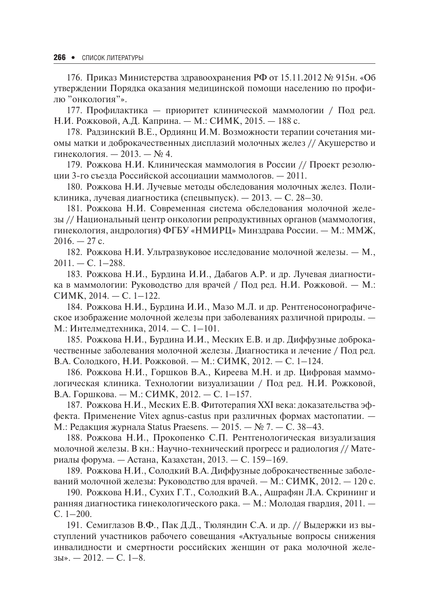176. Приказ Министерства здравоохранения РФ от 15.11.2012 № 915н. «Об утверждении Порядка оказания медицинской помощи населению по профилю "онкология"».

177. Профилактика — приоритет клинической маммологии / Под ред. Н.И. Рожковой, А.Д. Каприна. — М.: СИМК, 2015. — 188 с.

178. Радзинский В.Е., Ордиянц И.М. Возможности терапии сочетания миомы матки и доброкачественных дисплазий молочных желез // Акушерство и гинекология. — 2013. — № 4.

179. Рожкова Н.И. Клиническая маммология в России // Проект резолюции 3-го съезда Российской ассоциации маммологов. — 2011.

180. Рожкова Н.И. Лучевые методы обследования молочных желез. Поликлиника, лучевая диагностика (спецвыпуск). — 2013. — С. 28–30.

181. Рожкова Н.И. Современная система обследования молочной железы // Национальный центр онкологии репродуктивных органов (маммология, гинекология, андрология) ФГБУ «НМИРЦ» Минздрава России. — М.: ММЖ,  $2016. - 27$  c.

182. Рожкова Н.И. Ультразвуковое исследование молочной железы. — М.,  $2011. - C. 1 - 288.$ 

183. Рожкова Н.И., Бурдина И.И., Дабагов А.Р. и др. Лучевая диагностика в маммологии: Руководство для врачей / Под ред. Н.И. Рожковой. — М.: СИМК, 2014. — С. 1–122.

184. Рожкова Н.И., Бурдина И.И., Мазо М.Л. и др. Рентгеносонографическое изображение молочной железы при заболеваниях различной природы. — М.: Интелмедтехника, 2014. — С. 1–101.

185. Рожкова Н.И., Бурдина И.И., Меских Е.В. и др. Диффузные доброкачественные заболевания молочной железы. Диагностика и лечение / Под ред. В.А. Солодкого, Н.И. Рожковой. — М.: СИМК, 2012. — С. 1–124.

186. Рожкова Н.И., Горшков В.А., Киреева М.Н. и др. Цифровая маммологическая клиника. Технологии визуализации / Под ред. Н.И. Рожковой, В.А. Горшкова. — М.: СИМК, 2012. — С. 1–157.

187. Рожкова Н.И., Меских Е.В. Фитотерапия XXI века: доказательства эффекта. Применение Vitex agnus-castus при различных формах мастопатии. — М.: Редакция журнала Status Praesens. — 2015. — № 7. — С. 38–43.

188. Рожкова Н.И., Прокопенко С.П. Рентгенологическая визуализация молочной железы. В кн.: Научно-технический прогресс и радиология // Материалы форума. — Астана, Казахстан, 2013. — С. 159–169.

189. Рожкова Н.И., Солодкий В.А. Диффузные доброкачественные заболеваний молочной железы: Руководство для врачей. — М.: СИМК, 2012. — 120 с.

190. Рожкова Н.И., Сухих Г.Т., Солодкий В.А., Ашрафян Л.А. Скрининг и ранняя диагностика гинекологического рака. — М.: Молодая гвардия, 2011. — С. 1–200.

191. Семиглазов В.Ф., Пак Д.Д., Тюляндин С.А. и др. // Выдержки из выступлений участников рабочего совещания «Актуальные вопросы снижения инвалидности и смертности российских женщин от рака молочной железы».  $-2012$ .  $-C. 1-8$ .